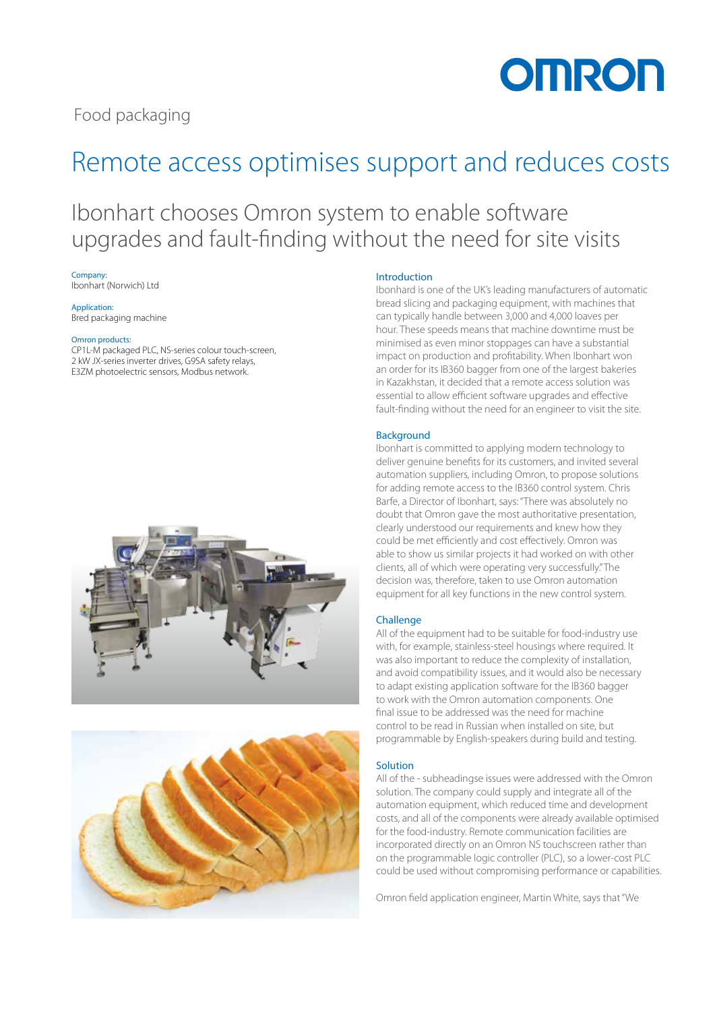**OMRON** 

Food packaging

## Remote access optimises support and reduces costs

### Ibonhart chooses Omron system to enable software upgrades and fault-finding without the need for site visits

Company: Ibonhart (Norwich) Ltd

Application: Bred packaging machine

#### Omron products:

CP1L-M packaged PLC, NS-series colour touch-screen, 2 kW JX-series inverter drives, G9SA safety relays, E3ZM photoelectric sensors, Modbus network.





#### Introduction

Ibonhard is one of the UK's leading manufacturers of automatic bread slicing and packaging equipment, with machines that can typically handle between 3,000 and 4,000 loaves per hour. These speeds means that machine downtime must be minimised as even minor stoppages can have a substantial impact on production and profitability. When Ibonhart won an order for its IB360 bagger from one of the largest bakeries in Kazakhstan, it decided that a remote access solution was essential to allow efficient software upgrades and effective fault-finding without the need for an engineer to visit the site.

#### Background

Ibonhart is committed to applying modern technology to deliver genuine benefits for its customers, and invited several automation suppliers, including Omron, to propose solutions for adding remote access to the IB360 control system. Chris Barfe, a Director of Ibonhart, says: "There was absolutely no doubt that Omron gave the most authoritative presentation, clearly understood our requirements and knew how they could be met efficiently and cost effectively. Omron was able to show us similar projects it had worked on with other clients, all of which were operating very successfully." The decision was, therefore, taken to use Omron automation equipment for all key functions in the new control system.

#### **Challenge**

All of the equipment had to be suitable for food-industry use with, for example, stainless-steel housings where required. It was also important to reduce the complexity of installation, and avoid compatibility issues, and it would also be necessary to adapt existing application software for the IB360 bagger to work with the Omron automation components. One final issue to be addressed was the need for machine control to be read in Russian when installed on site, but programmable by English-speakers during build and testing.

#### Solution

All of the - subheadingse issues were addressed with the Omron solution. The company could supply and integrate all of the automation equipment, which reduced time and development costs, and all of the components were already available optimised for the food-industry. Remote communication facilities are incorporated directly on an Omron NS touchscreen rather than on the programmable logic controller (PLC), so a lower-cost PLC could be used without compromising performance or capabilities.

Omron field application engineer, Martin White, says that "We